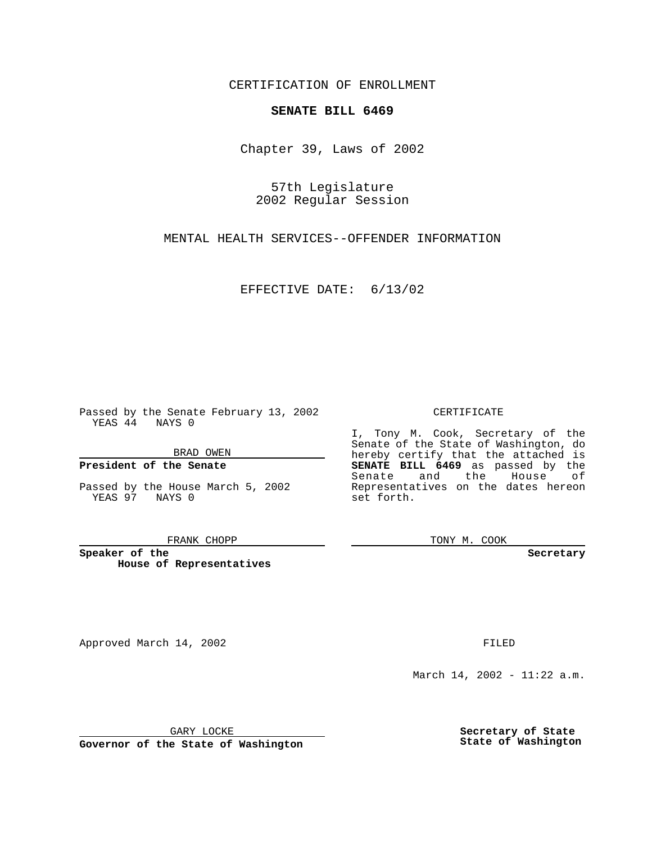CERTIFICATION OF ENROLLMENT

# **SENATE BILL 6469**

Chapter 39, Laws of 2002

57th Legislature 2002 Regular Session

MENTAL HEALTH SERVICES--OFFENDER INFORMATION

EFFECTIVE DATE: 6/13/02

Passed by the Senate February 13, 2002 YEAS 44 NAYS 0

BRAD OWEN

## **President of the Senate**

Passed by the House March 5, 2002 YEAS 97 NAYS 0

#### FRANK CHOPP

**Speaker of the House of Representatives**

Approved March 14, 2002 **FILED** 

### CERTIFICATE

I, Tony M. Cook, Secretary of the Senate of the State of Washington, do hereby certify that the attached is **SENATE BILL 6469** as passed by the Senate and the House of Representatives on the dates hereon set forth.

TONY M. COOK

**Secretary**

March 14, 2002 - 11:22 a.m.

GARY LOCKE

**Governor of the State of Washington**

**Secretary of State State of Washington**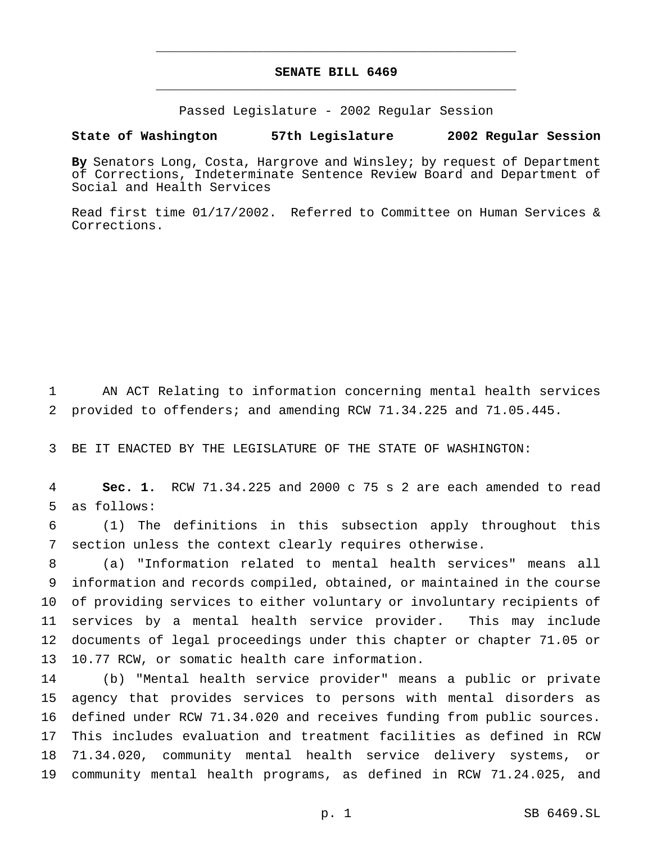# **SENATE BILL 6469** \_\_\_\_\_\_\_\_\_\_\_\_\_\_\_\_\_\_\_\_\_\_\_\_\_\_\_\_\_\_\_\_\_\_\_\_\_\_\_\_\_\_\_\_\_\_\_

\_\_\_\_\_\_\_\_\_\_\_\_\_\_\_\_\_\_\_\_\_\_\_\_\_\_\_\_\_\_\_\_\_\_\_\_\_\_\_\_\_\_\_\_\_\_\_

Passed Legislature - 2002 Regular Session

### **State of Washington 57th Legislature 2002 Regular Session**

**By** Senators Long, Costa, Hargrove and Winsley; by request of Department of Corrections, Indeterminate Sentence Review Board and Department of Social and Health Services

Read first time 01/17/2002. Referred to Committee on Human Services & Corrections.

 AN ACT Relating to information concerning mental health services provided to offenders; and amending RCW 71.34.225 and 71.05.445.

BE IT ENACTED BY THE LEGISLATURE OF THE STATE OF WASHINGTON:

 **Sec. 1.** RCW 71.34.225 and 2000 c 75 s 2 are each amended to read as follows:

 (1) The definitions in this subsection apply throughout this section unless the context clearly requires otherwise.

 (a) "Information related to mental health services" means all information and records compiled, obtained, or maintained in the course of providing services to either voluntary or involuntary recipients of services by a mental health service provider. This may include documents of legal proceedings under this chapter or chapter 71.05 or 10.77 RCW, or somatic health care information.

 (b) "Mental health service provider" means a public or private agency that provides services to persons with mental disorders as defined under RCW 71.34.020 and receives funding from public sources. This includes evaluation and treatment facilities as defined in RCW 71.34.020, community mental health service delivery systems, or community mental health programs, as defined in RCW 71.24.025, and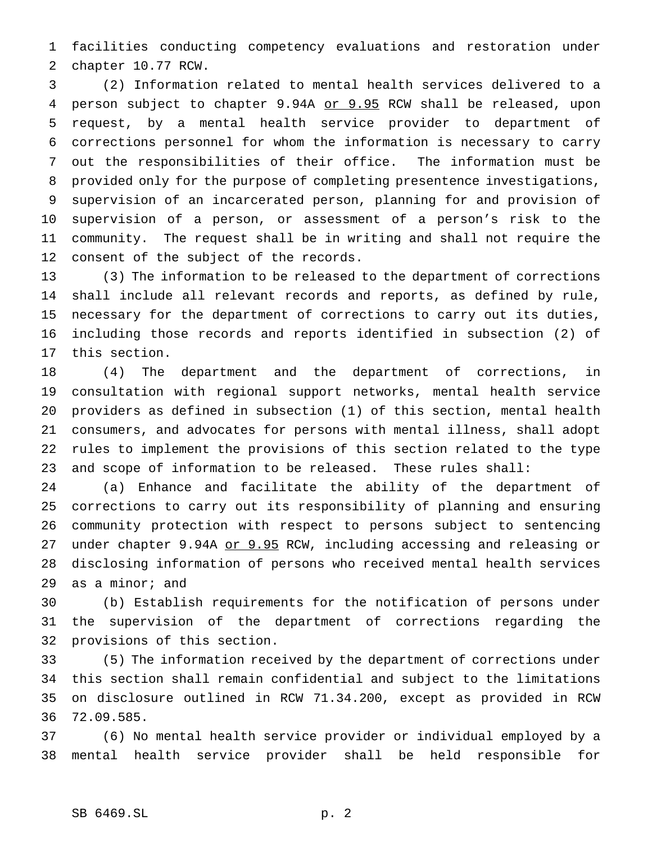facilities conducting competency evaluations and restoration under chapter 10.77 RCW.

 (2) Information related to mental health services delivered to a 4 person subject to chapter 9.94A or 9.95 RCW shall be released, upon request, by a mental health service provider to department of corrections personnel for whom the information is necessary to carry out the responsibilities of their office. The information must be provided only for the purpose of completing presentence investigations, supervision of an incarcerated person, planning for and provision of supervision of a person, or assessment of a person's risk to the community. The request shall be in writing and shall not require the consent of the subject of the records.

 (3) The information to be released to the department of corrections shall include all relevant records and reports, as defined by rule, necessary for the department of corrections to carry out its duties, including those records and reports identified in subsection (2) of this section.

 (4) The department and the department of corrections, in consultation with regional support networks, mental health service providers as defined in subsection (1) of this section, mental health consumers, and advocates for persons with mental illness, shall adopt rules to implement the provisions of this section related to the type and scope of information to be released. These rules shall:

 (a) Enhance and facilitate the ability of the department of corrections to carry out its responsibility of planning and ensuring community protection with respect to persons subject to sentencing 27 under chapter 9.94A or 9.95 RCW, including accessing and releasing or disclosing information of persons who received mental health services as a minor; and

 (b) Establish requirements for the notification of persons under the supervision of the department of corrections regarding the provisions of this section.

 (5) The information received by the department of corrections under this section shall remain confidential and subject to the limitations on disclosure outlined in RCW 71.34.200, except as provided in RCW 72.09.585.

 (6) No mental health service provider or individual employed by a mental health service provider shall be held responsible for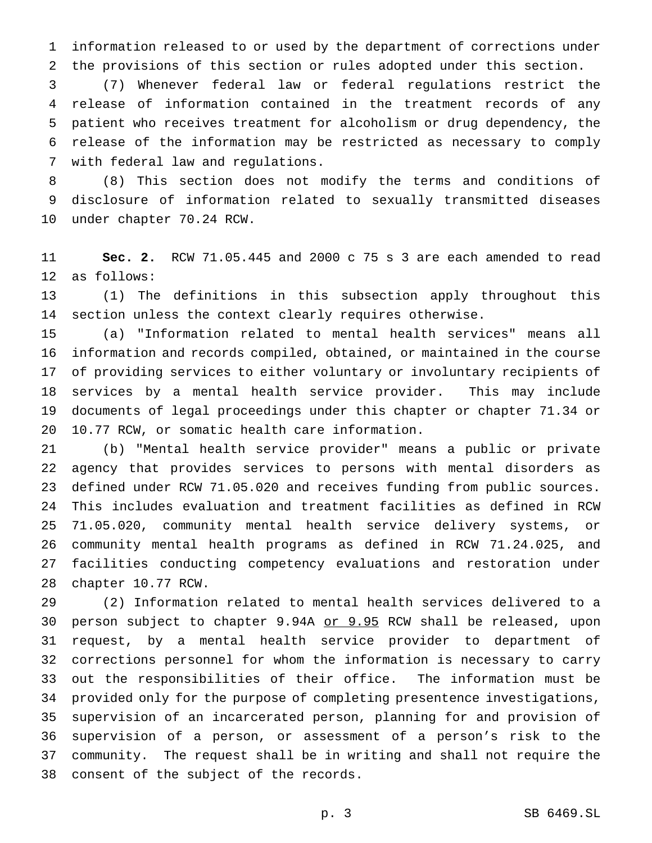information released to or used by the department of corrections under the provisions of this section or rules adopted under this section.

 (7) Whenever federal law or federal regulations restrict the release of information contained in the treatment records of any patient who receives treatment for alcoholism or drug dependency, the release of the information may be restricted as necessary to comply with federal law and regulations.

 (8) This section does not modify the terms and conditions of disclosure of information related to sexually transmitted diseases under chapter 70.24 RCW.

 **Sec. 2.** RCW 71.05.445 and 2000 c 75 s 3 are each amended to read as follows:

 (1) The definitions in this subsection apply throughout this section unless the context clearly requires otherwise.

 (a) "Information related to mental health services" means all information and records compiled, obtained, or maintained in the course of providing services to either voluntary or involuntary recipients of services by a mental health service provider. This may include documents of legal proceedings under this chapter or chapter 71.34 or 10.77 RCW, or somatic health care information.

 (b) "Mental health service provider" means a public or private agency that provides services to persons with mental disorders as defined under RCW 71.05.020 and receives funding from public sources. This includes evaluation and treatment facilities as defined in RCW 71.05.020, community mental health service delivery systems, or community mental health programs as defined in RCW 71.24.025, and facilities conducting competency evaluations and restoration under chapter 10.77 RCW.

 (2) Information related to mental health services delivered to a 30 person subject to chapter 9.94A or 9.95 RCW shall be released, upon request, by a mental health service provider to department of corrections personnel for whom the information is necessary to carry out the responsibilities of their office. The information must be provided only for the purpose of completing presentence investigations, supervision of an incarcerated person, planning for and provision of supervision of a person, or assessment of a person's risk to the community. The request shall be in writing and shall not require the consent of the subject of the records.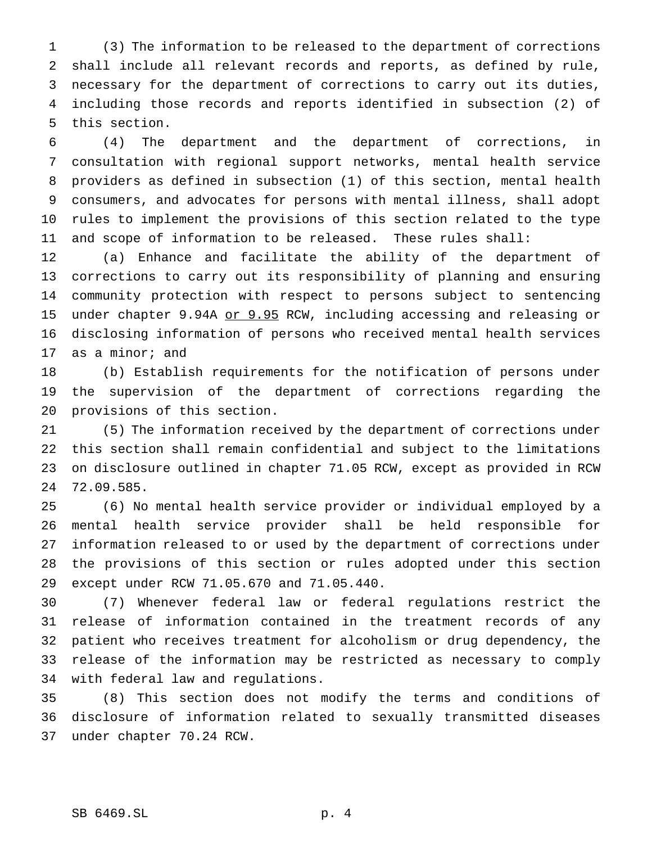(3) The information to be released to the department of corrections shall include all relevant records and reports, as defined by rule, necessary for the department of corrections to carry out its duties, including those records and reports identified in subsection (2) of this section.

 (4) The department and the department of corrections, in consultation with regional support networks, mental health service providers as defined in subsection (1) of this section, mental health consumers, and advocates for persons with mental illness, shall adopt rules to implement the provisions of this section related to the type and scope of information to be released. These rules shall:

 (a) Enhance and facilitate the ability of the department of corrections to carry out its responsibility of planning and ensuring community protection with respect to persons subject to sentencing 15 under chapter 9.94A or 9.95 RCW, including accessing and releasing or disclosing information of persons who received mental health services as a minor; and

 (b) Establish requirements for the notification of persons under the supervision of the department of corrections regarding the provisions of this section.

 (5) The information received by the department of corrections under this section shall remain confidential and subject to the limitations on disclosure outlined in chapter 71.05 RCW, except as provided in RCW 72.09.585.

 (6) No mental health service provider or individual employed by a mental health service provider shall be held responsible for information released to or used by the department of corrections under the provisions of this section or rules adopted under this section except under RCW 71.05.670 and 71.05.440.

 (7) Whenever federal law or federal regulations restrict the release of information contained in the treatment records of any patient who receives treatment for alcoholism or drug dependency, the release of the information may be restricted as necessary to comply with federal law and regulations.

 (8) This section does not modify the terms and conditions of disclosure of information related to sexually transmitted diseases under chapter 70.24 RCW.